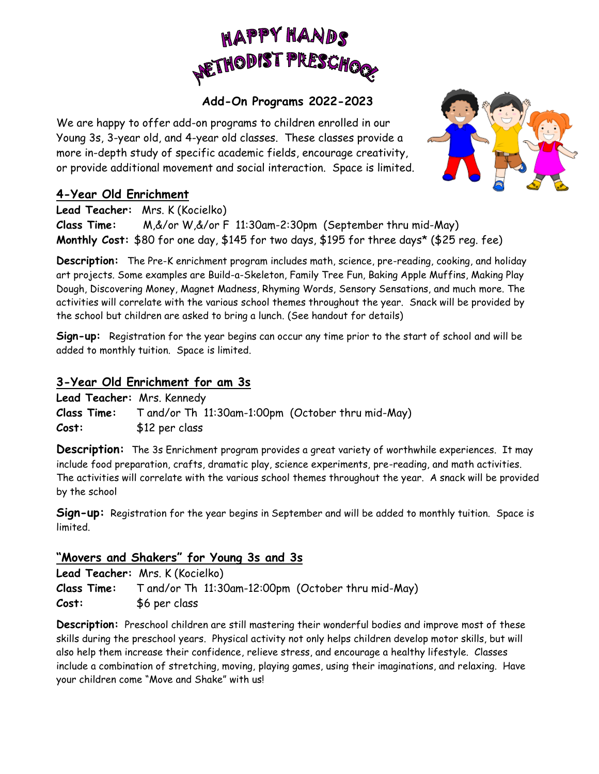

## **Add-On Programs 2022-2023**

We are happy to offer add-on programs to children enrolled in our Young 3s, 3-year old, and 4-year old classes. These classes provide a more in-depth study of specific academic fields, encourage creativity, or provide additional movement and social interaction. Space is limited.



## **4-Year Old Enrichment**

**Lead Teacher:** Mrs. K (Kocielko)

**Class Time:** M,&/or W,&/or F 11:30am-2:30pm (September thru mid-May) **Monthly Cost:** \$80 for one day, \$145 for two days, \$195 for three days\* (\$25 reg. fee)

**Description:** The Pre-K enrichment program includes math, science, pre-reading, cooking, and holiday art projects. Some examples are Build-a-Skeleton, Family Tree Fun, Baking Apple Muffins, Making Play Dough, Discovering Money, Magnet Madness, Rhyming Words, Sensory Sensations, and much more. The activities will correlate with the various school themes throughout the year. Snack will be provided by the school but children are asked to bring a lunch. (See handout for details)

**Sign-up:** Registration for the year begins can occur any time prior to the start of school and will be added to monthly tuition. Space is limited.

## **3-Year Old Enrichment for am 3s**

**Lead Teacher:** Mrs. Kennedy **Class Time:** T and/or Th 11:30am-1:00pm (October thru mid-May) **Cost:** \$12 per class

**Description:** The 3s Enrichment program provides a great variety of worthwhile experiences. It may include food preparation, crafts, dramatic play, science experiments, pre-reading, and math activities. The activities will correlate with the various school themes throughout the year. A snack will be provided by the school

**Sign-up:** Registration for the year begins in September and will be added to monthly tuition. Space is limited.

## **"Movers and Shakers" for Young 3s and 3s**

**Lead Teacher:** Mrs. K (Kocielko) **Class Time:** T and/or Th 11:30am-12:00pm (October thru mid-May) **Cost:** \$6 per class

**Description:** Preschool children are still mastering their wonderful bodies and improve most of these skills during the preschool years. Physical activity not only helps children develop motor skills, but will also help them increase their confidence, relieve stress, and encourage a healthy lifestyle. Classes include a combination of stretching, moving, playing games, using their imaginations, and relaxing. Have your children come "Move and Shake" with us!